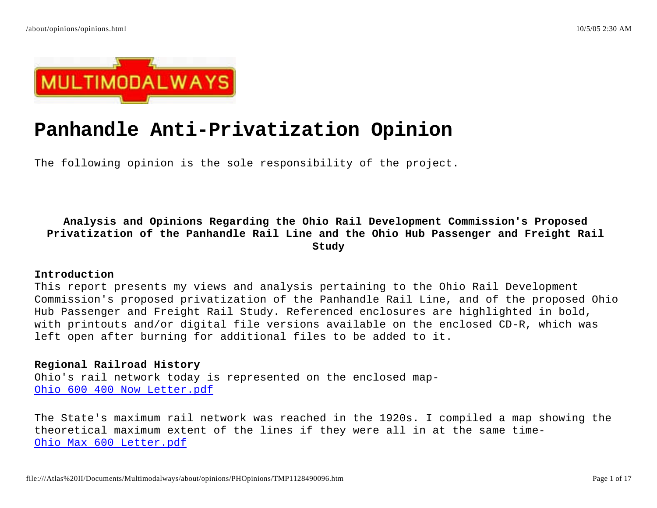

# **Panhandle Anti-Privatization Opinion**

The following opinion is the sole responsibility of the project.

**Analysis and Opinions Regarding the Ohio Rail Development Commission's Proposed Privatization of the Panhandle Rail Line and the Ohio Hub Passenger and Freight Rail Study**

## **Introduction**

This report presents my views and analysis pertaining to the Ohio Rail Development Commission's proposed privatization of the Panhandle Rail Line, and of the proposed Ohio Hub Passenger and Freight Rail Study. Referenced enclosures are highlighted in bold, with printouts and/or digital file versions available on the enclosed CD-R, which was left open after burning for additional files to be added to it.

# **Regional Railroad History**

Ohio's rail network today is represented on the enclosed map-Ohio 600 400 Now Letter.pdf

The State's maximum rail network was reached in the 1920s. I compiled a map showing the theoretical maximum extent of the lines if they were all in at the same time-Ohio Max 600 Letter.pdf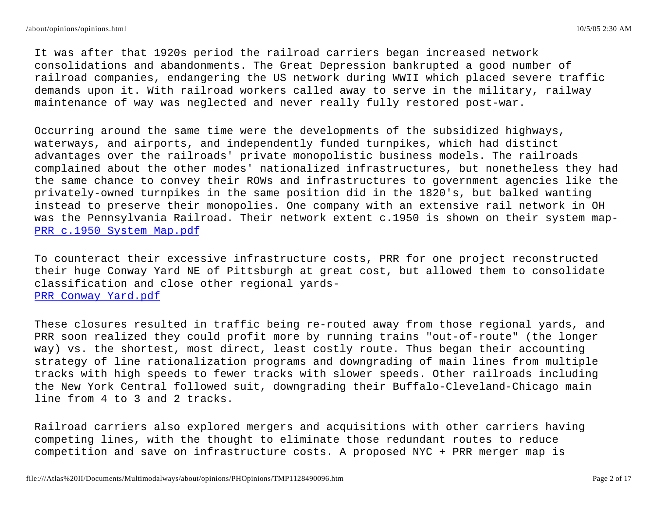It was after that 1920s period the railroad carriers began increased network consolidations and abandonments. The Great Depression bankrupted a good number of railroad companies, endangering the US network during WWII which placed severe traffic demands upon it. With railroad workers called away to serve in the military, railway maintenance of way was neglected and never really fully restored post-war.

Occurring around the same time were the developments of the subsidized highways, waterways, and airports, and independently funded turnpikes, which had distinct advantages over the railroads' private monopolistic business models. The railroads complained about the other modes' nationalized infrastructures, but nonetheless they had the same chance to convey their ROWs and infrastructures to government agencies like the privately-owned turnpikes in the same position did in the 1820's, but balked wanting instead to preserve their monopolies. One company with an extensive rail network in OH was the Pennsylvania Railroad. Their network extent c.1950 is shown on their system map-PRR c.1950 System Map.pdf

To counteract their excessive infrastructure costs, PRR for one project reconstructed their huge Conway Yard NE of Pittsburgh at great cost, but allowed them to consolidate classification and close other regional yards-PRR Conway Yard.pdf

These closures resulted in traffic being re-routed away from those regional yards, and PRR soon realized they could profit more by running trains "out-of-route" (the longer way) vs. the shortest, most direct, least costly route. Thus began their accounting strategy of line rationalization programs and downgrading of main lines from multiple tracks with high speeds to fewer tracks with slower speeds. Other railroads including the New York Central followed suit, downgrading their Buffalo-Cleveland-Chicago main line from 4 to 3 and 2 tracks.

Railroad carriers also explored mergers and acquisitions with other carriers having competing lines, with the thought to eliminate those redundant routes to reduce competition and save on infrastructure costs. A proposed NYC + PRR merger map is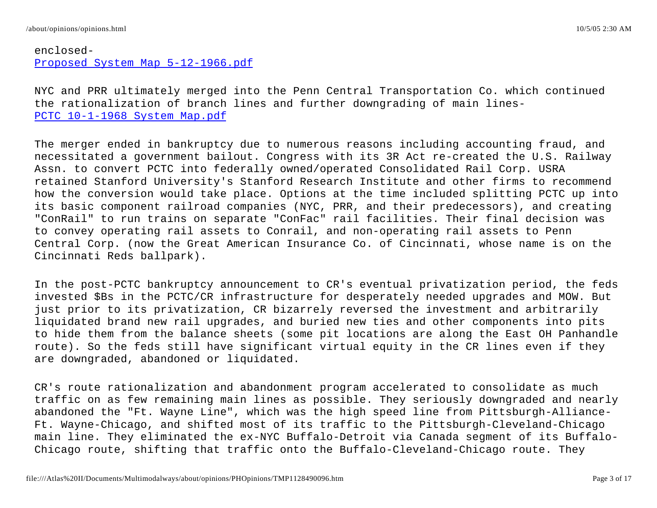# enclosed-Proposed System Map 5-12-1966.pdf

NYC and PRR ultimately merged into the Penn Central Transportation Co. which continued the rationalization of branch lines and further downgrading of main lines-PCTC 10-1-1968 System Map.pdf

The merger ended in bankruptcy due to numerous reasons including accounting fraud, and necessitated a government bailout. Congress with its 3R Act re-created the U.S. Railway Assn. to convert PCTC into federally owned/operated Consolidated Rail Corp. USRA retained Stanford University's Stanford Research Institute and other firms to recommend how the conversion would take place. Options at the time included splitting PCTC up into its basic component railroad companies (NYC, PRR, and their predecessors), and creating "ConRail" to run trains on separate "ConFac" rail facilities. Their final decision was to convey operating rail assets to Conrail, and non-operating rail assets to Penn Central Corp. (now the Great American Insurance Co. of Cincinnati, whose name is on the Cincinnati Reds ballpark).

In the post-PCTC bankruptcy announcement to CR's eventual privatization period, the feds invested \$Bs in the PCTC/CR infrastructure for desperately needed upgrades and MOW. But just prior to its privatization, CR bizarrely reversed the investment and arbitrarily liquidated brand new rail upgrades, and buried new ties and other components into pits to hide them from the balance sheets (some pit locations are along the East OH Panhandle route). So the feds still have significant virtual equity in the CR lines even if they are downgraded, abandoned or liquidated.

CR's route rationalization and abandonment program accelerated to consolidate as much traffic on as few remaining main lines as possible. They seriously downgraded and nearly abandoned the "Ft. Wayne Line", which was the high speed line from Pittsburgh-Alliance-Ft. Wayne-Chicago, and shifted most of its traffic to the Pittsburgh-Cleveland-Chicago main line. They eliminated the ex-NYC Buffalo-Detroit via Canada segment of its Buffalo-Chicago route, shifting that traffic onto the Buffalo-Cleveland-Chicago route. They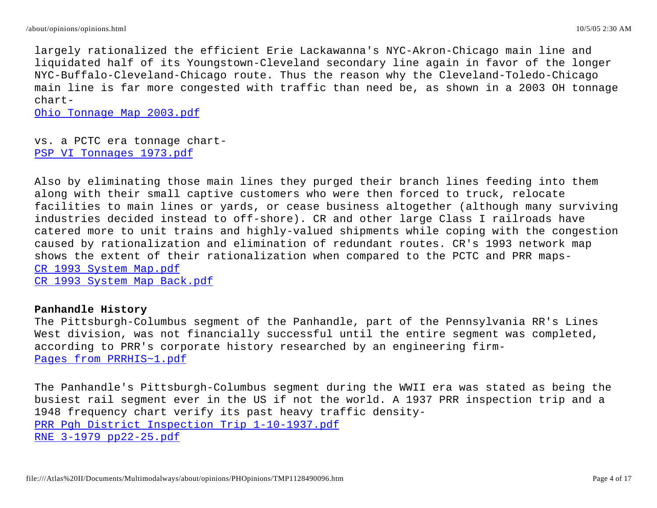largely rationalized the efficient Erie Lackawanna's NYC-Akron-Chicago main line and liquidated half of its Youngstown-Cleveland secondary line again in favor of the longer NYC-Buffalo-Cleveland-Chicago route. Thus the reason why the Cleveland-Toledo-Chicago main line is far more congested with traffic than need be, as shown in a 2003 OH tonnage chart-

Ohio Tonnage Map 2003.pdf

vs. a PCTC era tonnage chart-PSP VI Tonnages 1973.pdf

Also by eliminating those main lines they purged their branch lines feeding into them along with their small captive customers who were then forced to truck, relocate facilities to main lines or yards, or cease business altogether (although many surviving industries decided instead to off-shore). CR and other large Class I railroads have catered more to unit trains and highly-valued shipments while coping with the congestion caused by rationalization and elimination of redundant routes. CR's 1993 network map shows the extent of their rationalization when compared to the PCTC and PRR maps-CR 1993 System Map.pdf CR 1993 System Map Back.pdf

## **Panhandle History**

The Pittsburgh-Columbus segment of the Panhandle, part of the Pennsylvania RR's Lines West division, was not financially successful until the entire segment was completed, according to PRR's corporate history researched by an engineering firm-Pages from PRRHIS~1.pdf

The Panhandle's Pittsburgh-Columbus segment during the WWII era was stated as being the busiest rail segment ever in the US if not the world. A 1937 PRR inspection trip and a 1948 frequency chart verify its past heavy traffic density-PRR Pgh District Inspection Trip 1-10-1937.pdf RNE 3-1979 pp22-25.pdf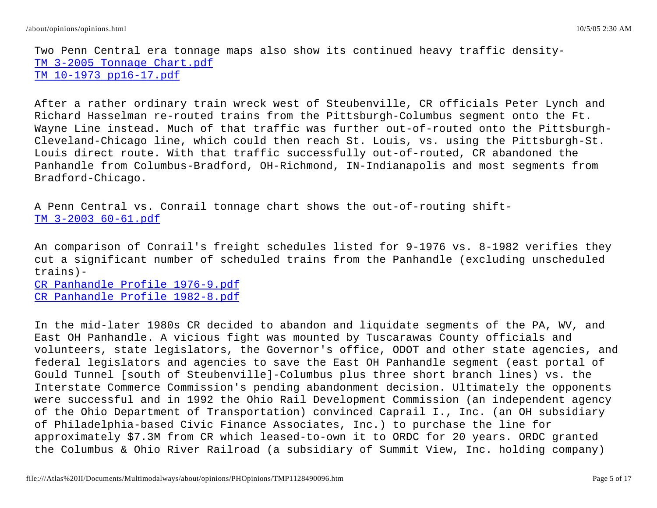Two Penn Central era tonnage maps also show its continued heavy traffic density-TM 3-2005 Tonnage Chart.pdf TM 10-1973 pp16-17.pdf

After a rather ordinary train wreck west of Steubenville, CR officials Peter Lynch and Richard Hasselman re-routed trains from the Pittsburgh-Columbus segment onto the Ft. Wayne Line instead. Much of that traffic was further out-of-routed onto the Pittsburgh-Cleveland-Chicago line, which could then reach St. Louis, vs. using the Pittsburgh-St. Louis direct route. With that traffic successfully out-of-routed, CR abandoned the Panhandle from Columbus-Bradford, OH-Richmond, IN-Indianapolis and most segments from Bradford-Chicago.

A Penn Central vs. Conrail tonnage chart shows the out-of-routing shift-TM 3-2003 60-61.pdf

An comparison of Conrail's freight schedules listed for 9-1976 vs. 8-1982 verifies they cut a significant number of scheduled trains from the Panhandle (excluding unscheduled trains)-

CR Panhandle Profile 1976-9.pdf CR Panhandle Profile 1982-8.pdf

In the mid-later 1980s CR decided to abandon and liquidate segments of the PA, WV, and East OH Panhandle. A vicious fight was mounted by Tuscarawas County officials and volunteers, state legislators, the Governor's office, ODOT and other state agencies, and federal legislators and agencies to save the East OH Panhandle segment (east portal of Gould Tunnel [south of Steubenville]-Columbus plus three short branch lines) vs. the Interstate Commerce Commission's pending abandonment decision. Ultimately the opponents were successful and in 1992 the Ohio Rail Development Commission (an independent agency of the Ohio Department of Transportation) convinced Caprail I., Inc. (an OH subsidiary of Philadelphia-based Civic Finance Associates, Inc.) to purchase the line for approximately \$7.3M from CR which leased-to-own it to ORDC for 20 years. ORDC granted the Columbus & Ohio River Railroad (a subsidiary of Summit View, Inc. holding company)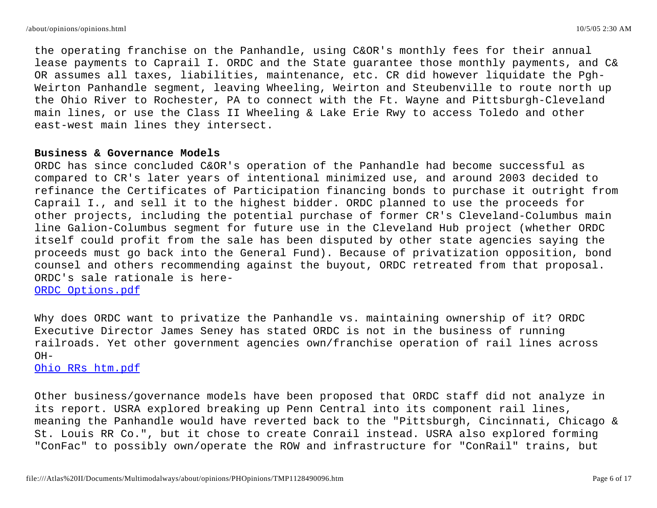the operating franchise on the Panhandle, using C&OR's monthly fees for their annual lease payments to Caprail I. ORDC and the State guarantee those monthly payments, and C& OR assumes all taxes, liabilities, maintenance, etc. CR did however liquidate the Pgh-Weirton Panhandle segment, leaving Wheeling, Weirton and Steubenville to route north up the Ohio River to Rochester, PA to connect with the Ft. Wayne and Pittsburgh-Cleveland main lines, or use the Class II Wheeling & Lake Erie Rwy to access Toledo and other east-west main lines they intersect.

#### **Business & Governance Models**

ORDC has since concluded C&OR's operation of the Panhandle had become successful as compared to CR's later years of intentional minimized use, and around 2003 decided to refinance the Certificates of Participation financing bonds to purchase it outright from Caprail I., and sell it to the highest bidder. ORDC planned to use the proceeds for other projects, including the potential purchase of former CR's Cleveland-Columbus main line Galion-Columbus segment for future use in the Cleveland Hub project (whether ORDC itself could profit from the sale has been disputed by other state agencies saying the proceeds must go back into the General Fund). Because of privatization opposition, bond counsel and others recommending against the buyout, ORDC retreated from that proposal. ORDC's sale rationale is here-ORDC Options.pdf

Why does ORDC want to privatize the Panhandle vs. maintaining ownership of it? ORDC Executive Director James Seney has stated ORDC is not in the business of running railroads. Yet other government agencies own/franchise operation of rail lines across  $OH-$ 

# Ohio RRs htm.pdf

Other business/governance models have been proposed that ORDC staff did not analyze in its report. USRA explored breaking up Penn Central into its component rail lines, meaning the Panhandle would have reverted back to the "Pittsburgh, Cincinnati, Chicago & St. Louis RR Co.", but it chose to create Conrail instead. USRA also explored forming "ConFac" to possibly own/operate the ROW and infrastructure for "ConRail" trains, but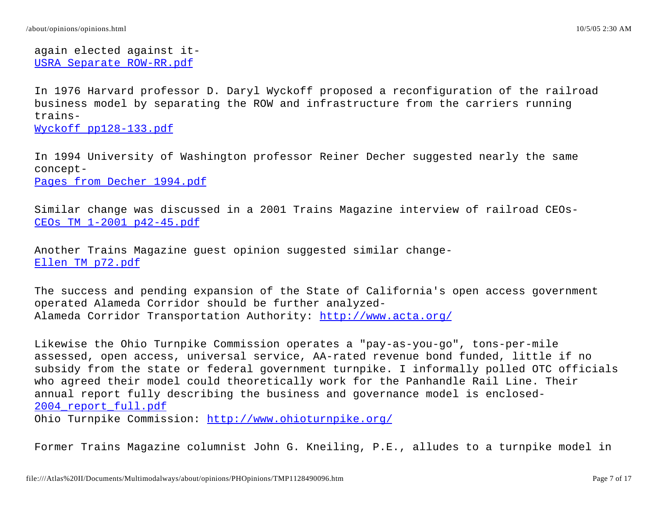again elected against it-USRA Separate ROW-RR.pdf

In 1976 Harvard professor D. Daryl Wyckoff proposed a reconfiguration of the railroad business model by separating the ROW and infrastructure from the carriers running trains-Wyckoff pp128-133.pdf

In 1994 University of Washington professor Reiner Decher suggested nearly the same concept-

Pages from Decher 1994.pdf

Similar change was discussed in a 2001 Trains Magazine interview of railroad CEOs-CEOs TM 1-2001 p42-45.pdf

Another Trains Magazine guest opinion suggested similar change-Ellen TM p72.pdf

The success and pending expansion of the State of California's open access government operated Alameda Corridor should be further analyzed-Alameda Corridor Transportation Authority: http://www.acta.org/

Likewise the Ohio Turnpike Commission operates a "pay-as-you-go", tons-per-mile assessed, open access, universal service, AA-rated revenue bond funded, little if no subsidy from the state or federal government turnpike. I informally polled OTC officials who agreed their model could theoretically work for the Panhandle Rail Line. Their annual report fully describing the business and governance model is enclosed-Ohio Turnpike Commission: http://www.ohioturnpike.org/ 2004\_report\_full.pdf

Former Trains Magazine columnist John G. Kneiling, P.E., alludes to a turnpike model in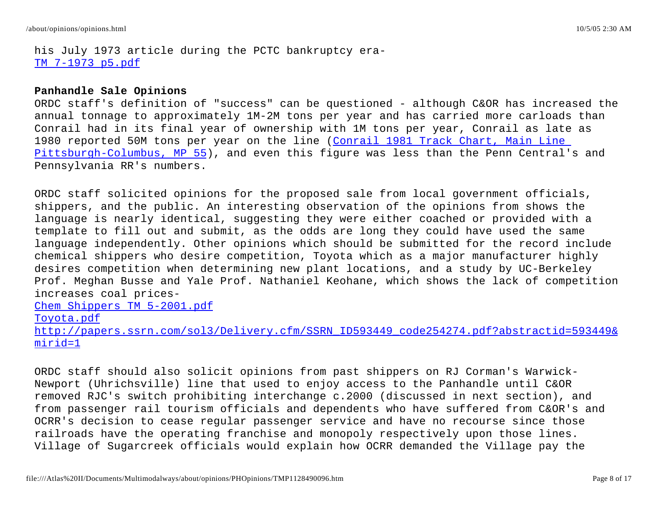his July 1973 article during the PCTC bankruptcy era-TM 7-1973 p5.pdf

#### **Panhandle Sale Opinions**

ORDC staff's definition of "success" can be questioned - although C&OR has increased the annual tonnage to approximately 1M-2M tons per year and has carried more carloads than Conrail had in its final year of ownership with 1M tons per year, Conrail as late as 1980 reported 50M tons per year on the line (<u>Conrail 1981 Track Chart, Main Line </u> <u>Pittsburgh-Columbus, MP 55</u>), and even this figure was less than the Penn Central's and Pennsylvania RR's numbers.

ORDC staff solicited opinions for the proposed sale from local government officials, shippers, and the public. An interesting observation of the opinions from shows the language is nearly identical, suggesting they were either coached or provided with a template to fill out and submit, as the odds are long they could have used the same language independently. Other opinions which should be submitted for the record include chemical shippers who desire competition, Toyota which as a major manufacturer highly desires competition when determining new plant locations, and a study by UC-Berkeley Prof. Meghan Busse and Yale Prof. Nathaniel Keohane, which shows the lack of competition increases coal prices-Chem Shippers TM 5-2001.pdf Toyota.pdf http://papers.ssrn.com/sol3/Delivery.cfm/SSRN\_ID593449\_code254274.pdf?abstractid=593449&

mirid=1

ORDC staff should also solicit opinions from past shippers on RJ Corman's Warwick-Newport (Uhrichsville) line that used to enjoy access to the Panhandle until C&OR removed RJC's switch prohibiting interchange c.2000 (discussed in next section), and from passenger rail tourism officials and dependents who have suffered from C&OR's and OCRR's decision to cease regular passenger service and have no recourse since those railroads have the operating franchise and monopoly respectively upon those lines. Village of Sugarcreek officials would explain how OCRR demanded the Village pay the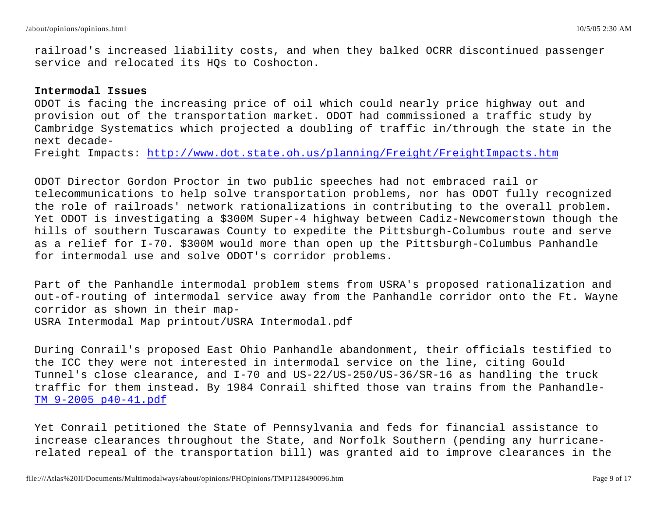railroad's increased liability costs, and when they balked OCRR discontinued passenger service and relocated its HQs to Coshocton.

#### **Intermodal Issues**

ODOT is facing the increasing price of oil which could nearly price highway out and provision out of the transportation market. ODOT had commissioned a traffic study by Cambridge Systematics which projected a doubling of traffic in/through the state in the next decade-

Freight Impacts: <u>http://www.dot.state.oh.us/planning/Freight/FreightImpacts.htm</u>

ODOT Director Gordon Proctor in two public speeches had not embraced rail or telecommunications to help solve transportation problems, nor has ODOT fully recognized the role of railroads' network rationalizations in contributing to the overall problem. Yet ODOT is investigating a \$300M Super-4 highway between Cadiz-Newcomerstown though the hills of southern Tuscarawas County to expedite the Pittsburgh-Columbus route and serve as a relief for I-70. \$300M would more than open up the Pittsburgh-Columbus Panhandle for intermodal use and solve ODOT's corridor problems.

Part of the Panhandle intermodal problem stems from USRA's proposed rationalization and out-of-routing of intermodal service away from the Panhandle corridor onto the Ft. Wayne corridor as shown in their map-USRA Intermodal Map printout/USRA Intermodal.pdf

During Conrail's proposed East Ohio Panhandle abandonment, their officials testified to the ICC they were not interested in intermodal service on the line, citing Gould Tunnel's close clearance, and I-70 and US-22/US-250/US-36/SR-16 as handling the truck traffic for them instead. By 1984 Conrail shifted those van trains from the Panhandle-TM 9-2005 p40-41.pdf

Yet Conrail petitioned the State of Pennsylvania and feds for financial assistance to increase clearances throughout the State, and Norfolk Southern (pending any hurricanerelated repeal of the transportation bill) was granted aid to improve clearances in the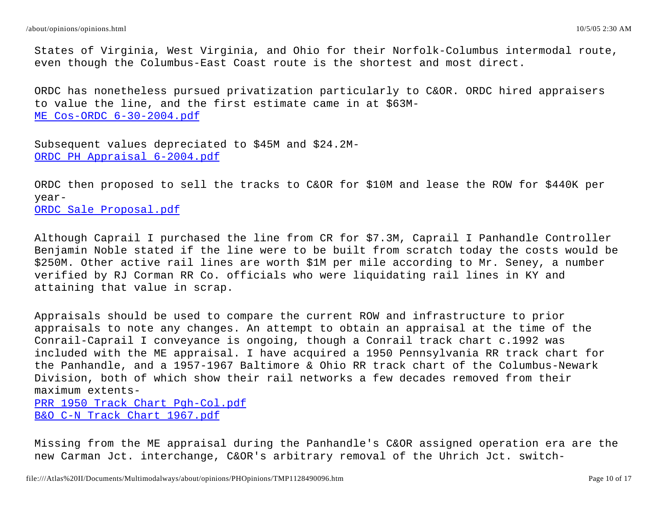States of Virginia, West Virginia, and Ohio for their Norfolk-Columbus intermodal route, even though the Columbus-East Coast route is the shortest and most direct.

ORDC has nonetheless pursued privatization particularly to C&OR. ORDC hired appraisers to value the line, and the first estimate came in at \$63M-ME Cos-ORDC 6-30-2004.pdf

Subsequent values depreciated to \$45M and \$24.2M-ORDC PH Appraisal 6-2004.pdf

ORDC then proposed to sell the tracks to C&OR for \$10M and lease the ROW for \$440K per year-

ORDC Sale Proposal.pdf

Although Caprail I purchased the line from CR for \$7.3M, Caprail I Panhandle Controller Benjamin Noble stated if the line were to be built from scratch today the costs would be \$250M. Other active rail lines are worth \$1M per mile according to Mr. Seney, a number verified by RJ Corman RR Co. officials who were liquidating rail lines in KY and attaining that value in scrap.

Appraisals should be used to compare the current ROW and infrastructure to prior appraisals to note any changes. An attempt to obtain an appraisal at the time of the Conrail-Caprail I conveyance is ongoing, though a Conrail track chart c.1992 was included with the ME appraisal. I have acquired a 1950 Pennsylvania RR track chart for the Panhandle, and a 1957-1967 Baltimore & Ohio RR track chart of the Columbus-Newark Division, both of which show their rail networks a few decades removed from their maximum extents-PRR 1950 Track Chart Pgh-Col.pdf B&O C-N Track Chart 1967.pdf

Missing from the ME appraisal during the Panhandle's C&OR assigned operation era are the new Carman Jct. interchange, C&OR's arbitrary removal of the Uhrich Jct. switch-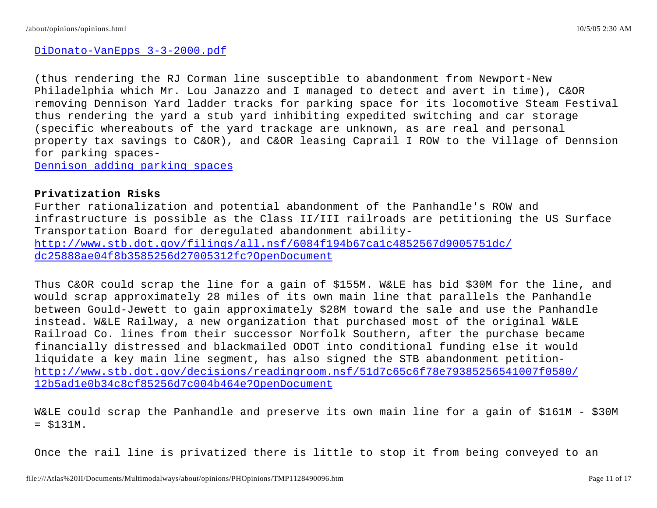# DiDonato-VanEpps 3-3-2000.pdf

(thus rendering the RJ Corman line susceptible to abandonment from Newport-New Philadelphia which Mr. Lou Janazzo and I managed to detect and avert in time), C&OR removing Dennison Yard ladder tracks for parking space for its locomotive Steam Festival thus rendering the yard a stub yard inhibiting expedited switching and car storage (specific whereabouts of the yard trackage are unknown, as are real and personal property tax savings to C&OR), and C&OR leasing Caprail I ROW to the Village of Dennsion for parking spaces-

Dennison adding parking spaces

# **Privatization Risks**

Further rationalization and potential abandonment of the Panhandle's ROW and infrastructure is possible as the Class II/III railroads are petitioning the US Surface Transportation Board for deregulated abandonment abilityhttp://www.stb.dot.gov/filings/all.nsf/6084f194b67ca1c4852567d9005751dc/ dc25888ae04f8b3585256d27005312fc?OpenDocument

Thus C&OR could scrap the line for a gain of \$155M. W&LE has bid \$30M for the line, and would scrap approximately 28 miles of its own main line that parallels the Panhandle between Gould-Jewett to gain approximately \$28M toward the sale and use the Panhandle instead. W&LE Railway, a new organization that purchased most of the original W&LE Railroad Co. lines from their successor Norfolk Southern, after the purchase became financially distressed and blackmailed ODOT into conditional funding else it would liquidate a key main line segment, has also signed the STB abandonment petitionhttp://www.stb.dot.gov/decisions/readingroom.nsf/51d7c65c6f78e79385256541007f0580/ 12b5ad1e0b34c8cf85256d7c004b464e?OpenDocument

W&LE could scrap the Panhandle and preserve its own main line for a gain of \$161M - \$30M  $= $131M.$ 

Once the rail line is privatized there is little to stop it from being conveyed to an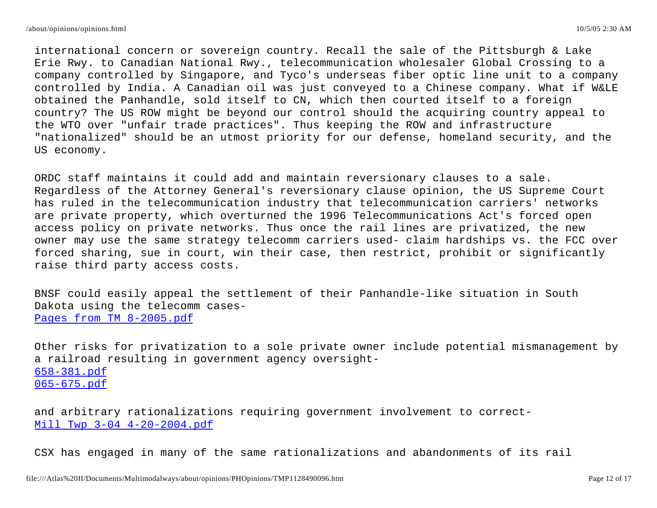international concern or sovereign country. Recall the sale of the Pittsburgh & Lake Erie Rwy. to Canadian National Rwy., telecommunication wholesaler Global Crossing to a company controlled by Singapore, and Tyco's underseas fiber optic line unit to a company controlled by India. A Canadian oil was just conveyed to a Chinese company. What if W&LE obtained the Panhandle, sold itself to CN, which then courted itself to a foreign country? The US ROW might be beyond our control should the acquiring country appeal to the WTO over "unfair trade practices". Thus keeping the ROW and infrastructure "nationalized" should be an utmost priority for our defense, homeland security, and the US economy.

ORDC staff maintains it could add and maintain reversionary clauses to a sale. Regardless of the Attorney General's reversionary clause opinion, the US Supreme Court has ruled in the telecommunication industry that telecommunication carriers' networks are private property, which overturned the 1996 Telecommunications Act's forced open access policy on private networks. Thus once the rail lines are privatized, the new owner may use the same strategy telecomm carriers used- claim hardships vs. the FCC over forced sharing, sue in court, win their case, then restrict, prohibit or significantly raise third party access costs.

BNSF could easily appeal the settlement of their Panhandle-like situation in South Dakota using the telecomm cases-Pages from TM 8-2005.pdf

Other risks for privatization to a sole private owner include potential mismanagement by a railroad resulting in government agency oversight-658-381.pdf 065-675.pdf

and arbitrary rationalizations requiring government involvement to correct-Mill Twp 3-04 4-20-2004.pdf

CSX has engaged in many of the same rationalizations and abandonments of its rail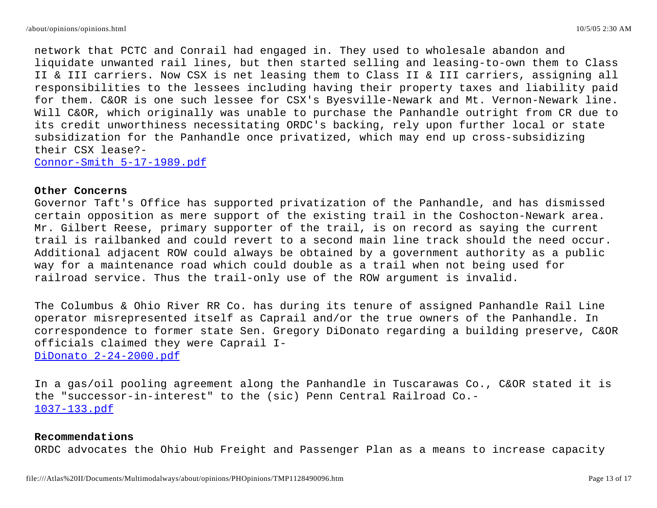network that PCTC and Conrail had engaged in. They used to wholesale abandon and liquidate unwanted rail lines, but then started selling and leasing-to-own them to Class II & III carriers. Now CSX is net leasing them to Class II & III carriers, assigning all responsibilities to the lessees including having their property taxes and liability paid for them. C&OR is one such lessee for CSX's Byesville-Newark and Mt. Vernon-Newark line. Will C&OR, which originally was unable to purchase the Panhandle outright from CR due to its credit unworthiness necessitating ORDC's backing, rely upon further local or state subsidization for the Panhandle once privatized, which may end up cross-subsidizing their CSX lease?- Connor-Smith 5-17-1989.pdf

## **Other Concerns**

Governor Taft's Office has supported privatization of the Panhandle, and has dismissed certain opposition as mere support of the existing trail in the Coshocton-Newark area. Mr. Gilbert Reese, primary supporter of the trail, is on record as saying the current trail is railbanked and could revert to a second main line track should the need occur. Additional adjacent ROW could always be obtained by a government authority as a public way for a maintenance road which could double as a trail when not being used for railroad service. Thus the trail-only use of the ROW argument is invalid.

The Columbus & Ohio River RR Co. has during its tenure of assigned Panhandle Rail Line operator misrepresented itself as Caprail and/or the true owners of the Panhandle. In correspondence to former state Sen. Gregory DiDonato regarding a building preserve, C&OR officials claimed they were Caprail I-DiDonato 2-24-2000.pdf

In a gas/oil pooling agreement along the Panhandle in Tuscarawas Co., C&OR stated it is the "successor-in-interest" to the (sic) Penn Central Railroad Co.- 1037-133.pdf

#### **Recommendations**

ORDC advocates the Ohio Hub Freight and Passenger Plan as a means to increase capacity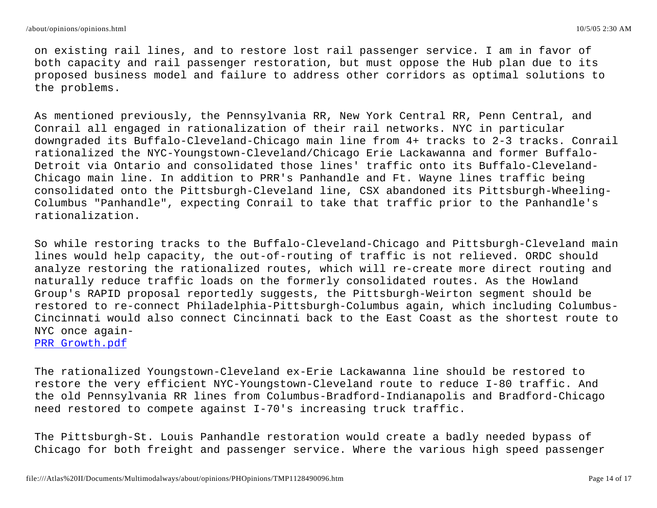on existing rail lines, and to restore lost rail passenger service. I am in favor of both capacity and rail passenger restoration, but must oppose the Hub plan due to its proposed business model and failure to address other corridors as optimal solutions to the problems.

As mentioned previously, the Pennsylvania RR, New York Central RR, Penn Central, and Conrail all engaged in rationalization of their rail networks. NYC in particular downgraded its Buffalo-Cleveland-Chicago main line from 4+ tracks to 2-3 tracks. Conrail rationalized the NYC-Youngstown-Cleveland/Chicago Erie Lackawanna and former Buffalo-Detroit via Ontario and consolidated those lines' traffic onto its Buffalo-Cleveland-Chicago main line. In addition to PRR's Panhandle and Ft. Wayne lines traffic being consolidated onto the Pittsburgh-Cleveland line, CSX abandoned its Pittsburgh-Wheeling-Columbus "Panhandle", expecting Conrail to take that traffic prior to the Panhandle's rationalization.

So while restoring tracks to the Buffalo-Cleveland-Chicago and Pittsburgh-Cleveland main lines would help capacity, the out-of-routing of traffic is not relieved. ORDC should analyze restoring the rationalized routes, which will re-create more direct routing and naturally reduce traffic loads on the formerly consolidated routes. As the Howland Group's RAPID proposal reportedly suggests, the Pittsburgh-Weirton segment should be restored to re-connect Philadelphia-Pittsburgh-Columbus again, which including Columbus-Cincinnati would also connect Cincinnati back to the East Coast as the shortest route to NYC once again-

PRR Growth.pdf

The rationalized Youngstown-Cleveland ex-Erie Lackawanna line should be restored to restore the very efficient NYC-Youngstown-Cleveland route to reduce I-80 traffic. And the old Pennsylvania RR lines from Columbus-Bradford-Indianapolis and Bradford-Chicago need restored to compete against I-70's increasing truck traffic.

The Pittsburgh-St. Louis Panhandle restoration would create a badly needed bypass of Chicago for both freight and passenger service. Where the various high speed passenger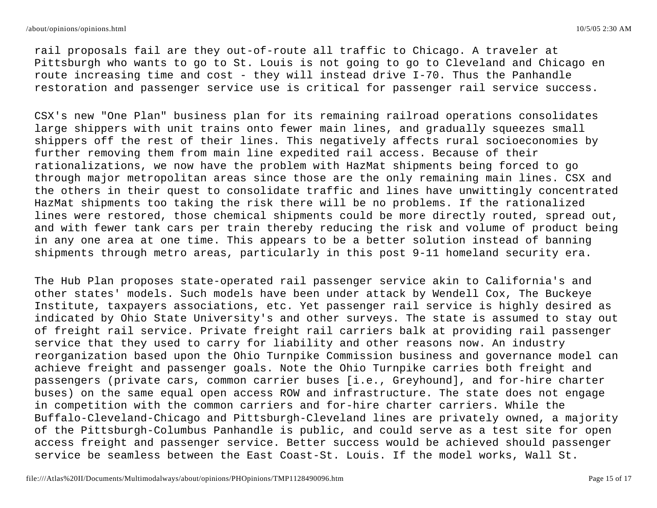rail proposals fail are they out-of-route all traffic to Chicago. A traveler at Pittsburgh who wants to go to St. Louis is not going to go to Cleveland and Chicago en route increasing time and cost - they will instead drive I-70. Thus the Panhandle restoration and passenger service use is critical for passenger rail service success.

CSX's new "One Plan" business plan for its remaining railroad operations consolidates large shippers with unit trains onto fewer main lines, and gradually squeezes small shippers off the rest of their lines. This negatively affects rural socioeconomies by further removing them from main line expedited rail access. Because of their rationalizations, we now have the problem with HazMat shipments being forced to go through major metropolitan areas since those are the only remaining main lines. CSX and the others in their quest to consolidate traffic and lines have unwittingly concentrated HazMat shipments too taking the risk there will be no problems. If the rationalized lines were restored, those chemical shipments could be more directly routed, spread out, and with fewer tank cars per train thereby reducing the risk and volume of product being in any one area at one time. This appears to be a better solution instead of banning shipments through metro areas, particularly in this post 9-11 homeland security era.

The Hub Plan proposes state-operated rail passenger service akin to California's and other states' models. Such models have been under attack by Wendell Cox, The Buckeye Institute, taxpayers associations, etc. Yet passenger rail service is highly desired as indicated by Ohio State University's and other surveys. The state is assumed to stay out of freight rail service. Private freight rail carriers balk at providing rail passenger service that they used to carry for liability and other reasons now. An industry reorganization based upon the Ohio Turnpike Commission business and governance model can achieve freight and passenger goals. Note the Ohio Turnpike carries both freight and passengers (private cars, common carrier buses [i.e., Greyhound], and for-hire charter buses) on the same equal open access ROW and infrastructure. The state does not engage in competition with the common carriers and for-hire charter carriers. While the Buffalo-Cleveland-Chicago and Pittsburgh-Cleveland lines are privately owned, a majority of the Pittsburgh-Columbus Panhandle is public, and could serve as a test site for open access freight and passenger service. Better success would be achieved should passenger service be seamless between the East Coast-St. Louis. If the model works, Wall St.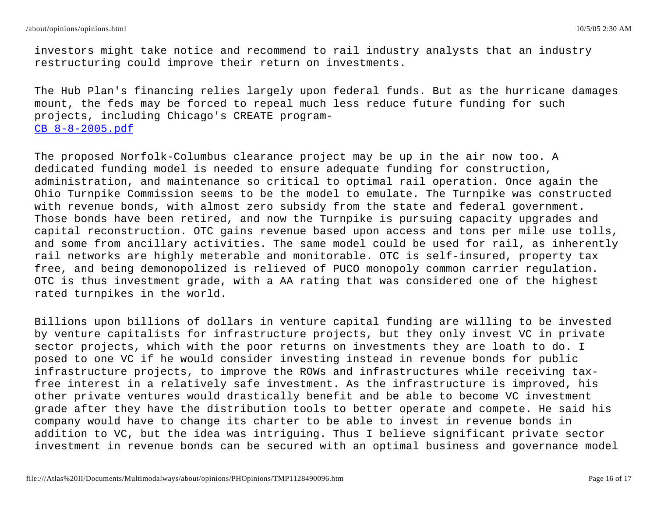investors might take notice and recommend to rail industry analysts that an industry restructuring could improve their return on investments.

The Hub Plan's financing relies largely upon federal funds. But as the hurricane damages mount, the feds may be forced to repeal much less reduce future funding for such projects, including Chicago's CREATE program-CB 8-8-2005.pdf

The proposed Norfolk-Columbus clearance project may be up in the air now too. A dedicated funding model is needed to ensure adequate funding for construction, administration, and maintenance so critical to optimal rail operation. Once again the Ohio Turnpike Commission seems to be the model to emulate. The Turnpike was constructed with revenue bonds, with almost zero subsidy from the state and federal government. Those bonds have been retired, and now the Turnpike is pursuing capacity upgrades and capital reconstruction. OTC gains revenue based upon access and tons per mile use tolls, and some from ancillary activities. The same model could be used for rail, as inherently rail networks are highly meterable and monitorable. OTC is self-insured, property tax free, and being demonopolized is relieved of PUCO monopoly common carrier regulation. OTC is thus investment grade, with a AA rating that was considered one of the highest rated turnpikes in the world.

Billions upon billions of dollars in venture capital funding are willing to be invested by venture capitalists for infrastructure projects, but they only invest VC in private sector projects, which with the poor returns on investments they are loath to do. I posed to one VC if he would consider investing instead in revenue bonds for public infrastructure projects, to improve the ROWs and infrastructures while receiving taxfree interest in a relatively safe investment. As the infrastructure is improved, his other private ventures would drastically benefit and be able to become VC investment grade after they have the distribution tools to better operate and compete. He said his company would have to change its charter to be able to invest in revenue bonds in addition to VC, but the idea was intriguing. Thus I believe significant private sector investment in revenue bonds can be secured with an optimal business and governance model